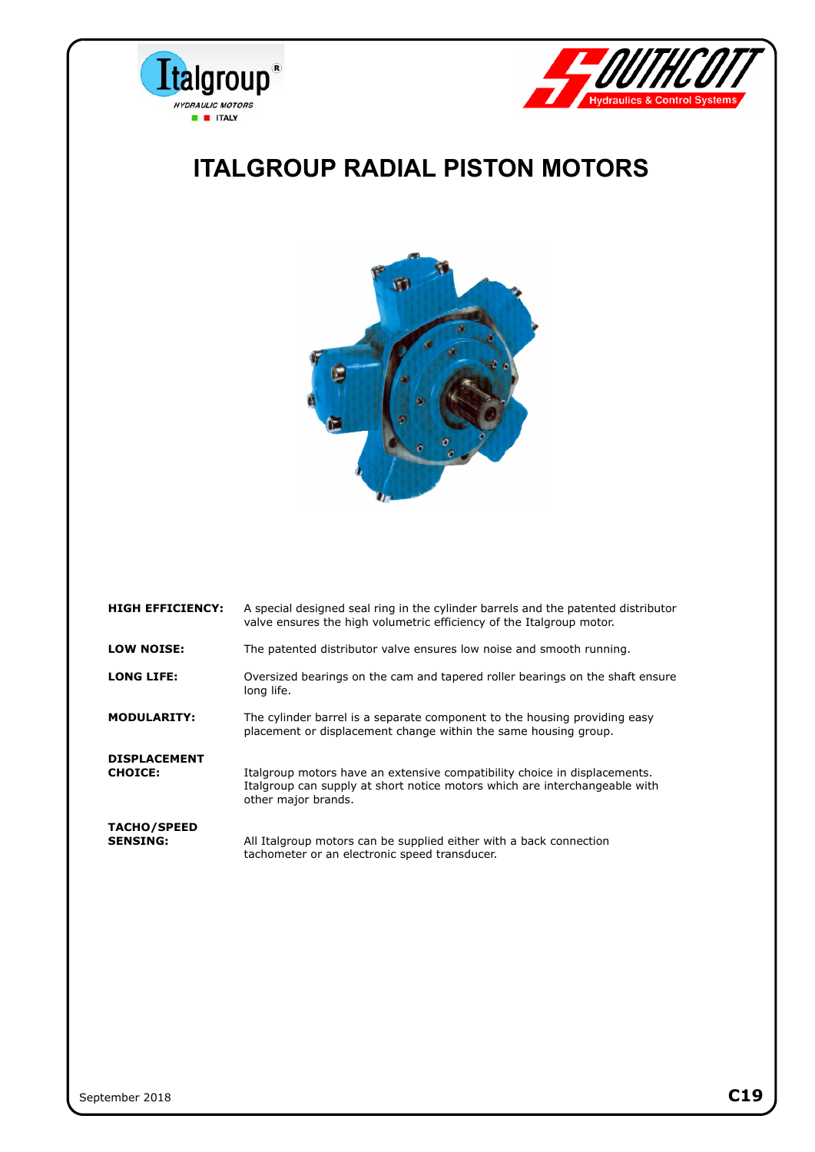



### **ITALGROUP RADIAL PISTON MOTORS**



| <b>HIGH EFFICIENCY:</b>               | A special designed seal ring in the cylinder barrels and the patented distributor<br>valve ensures the high volumetric efficiency of the Italgroup motor.                      |
|---------------------------------------|--------------------------------------------------------------------------------------------------------------------------------------------------------------------------------|
| <b>LOW NOISE:</b>                     | The patented distributor valve ensures low noise and smooth running.                                                                                                           |
| <b>LONG LIFE:</b>                     | Oversized bearings on the cam and tapered roller bearings on the shaft ensure<br>long life.                                                                                    |
| <b>MODULARITY:</b>                    | The cylinder barrel is a separate component to the housing providing easy<br>placement or displacement change within the same housing group.                                   |
| <b>DISPLACEMENT</b><br><b>CHOICE:</b> | Italgroup motors have an extensive compatibility choice in displacements.<br>Italgroup can supply at short notice motors which are interchangeable with<br>other major brands. |
| <b>TACHO/SPEED</b><br><b>SENSING:</b> | All Italgroup motors can be supplied either with a back connection<br>tachometer or an electronic speed transducer.                                                            |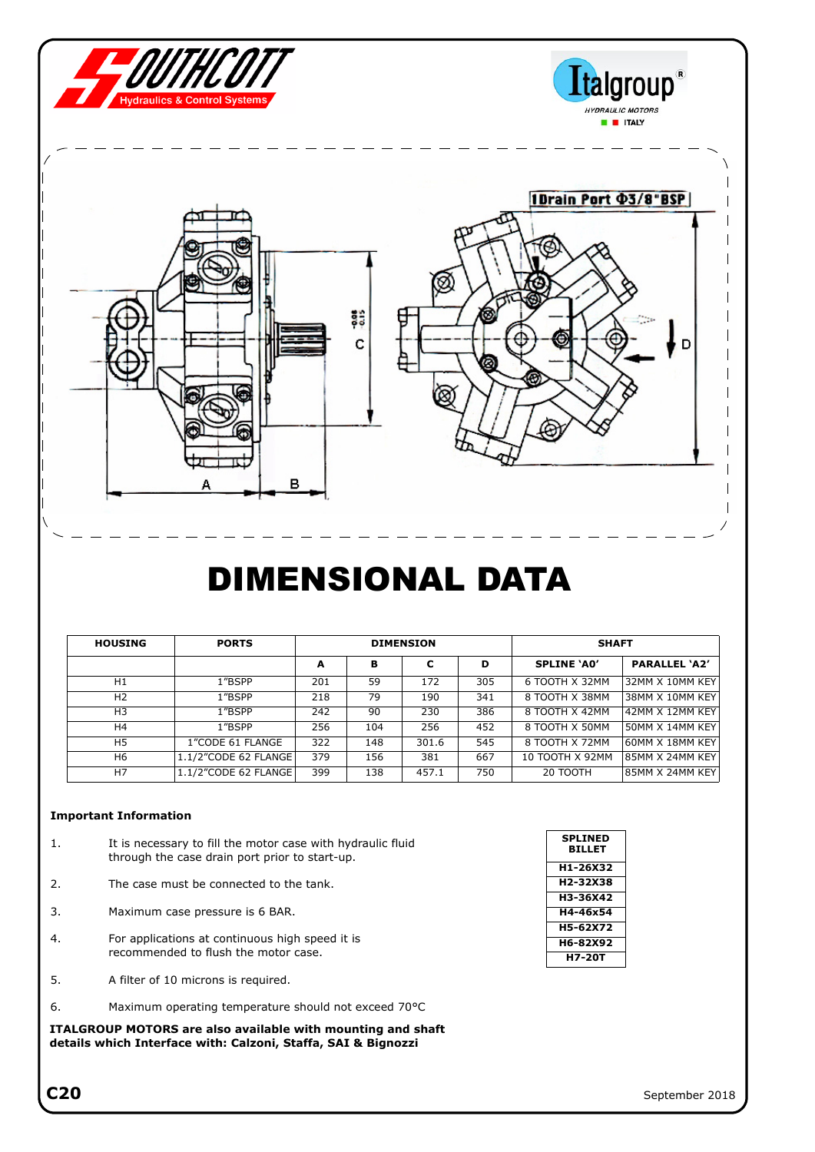

## DIMENSIONAL DATA

| <b>HOUSING</b> | <b>PORTS</b>         | <b>DIMENSION</b> |     |       |     | <b>SHAFT</b>       |                      |  |
|----------------|----------------------|------------------|-----|-------|-----|--------------------|----------------------|--|
|                |                      | A                | в   | с     | D   | <b>SPLINE 'AO'</b> | <b>PARALLEL 'A2'</b> |  |
| H1             | 1"BSPP               | 201              | 59  | 172   | 305 | 6 TOOTH X 32MM     | 32MM X 10MM KEY      |  |
| H <sub>2</sub> | 1"BSPP               | 218              | 79  | 190   | 341 | 8 TOOTH X 38MM     | 38MM X 10MM KEY      |  |
| H3             | 1"BSPP               | 242              | 90  | 230   | 386 | 8 TOOTH X 42MM     | 42MM X 12MM KEY      |  |
| H4             | 1"BSPP               | 256              | 104 | 256   | 452 | 8 TOOTH X 50MM     | 50MM X 14MM KEY      |  |
| H <sub>5</sub> | 1"CODE 61 FLANGE     | 322              | 148 | 301.6 | 545 | 8 TOOTH X 72MM     | 60MM X 18MM KEY      |  |
| H6             | 1.1/2"CODE 62 FLANGE | 379              | 156 | 381   | 667 | 10 TOOTH X 92MM    | 85MM X 24MM KEY      |  |
| H7             | 1.1/2"CODE 62 FLANGE | 399              | 138 | 457.1 | 750 | 20 TOOTH           | 85MM X 24MM KEY      |  |

#### **Important Information**

- 1. It is necessary to fill the motor case with hydraulic fluid through the case drain port prior to start-up.
- 2. The case must be connected to the tank.
- 3. Maximum case pressure is 6 BAR.
- 4. For applications at continuous high speed it is recommended to flush the motor case.
- 5. A filter of 10 microns is required.
- 6. Maximum operating temperature should not exceed 70°C

**ITALGROUP MOTORS are also available with mounting and shaft details which Interface with: Calzoni, Staffa, SAI & Bignozzi**